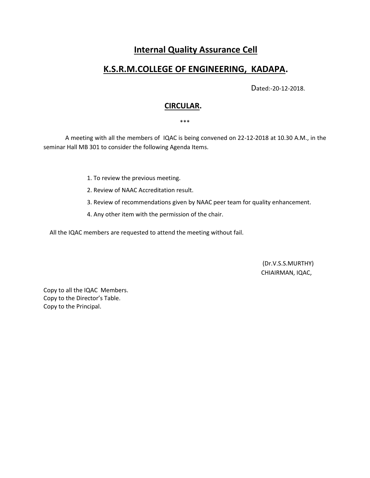# **Internal Quality Assurance Cell**

## **K.S.R.M.COLLEGE OF ENGINEERING, KADAPA.**

Dated:-20-12-2018.

## **CIRCULAR.**

\*\*\*

 A meeting with all the members of IQAC is being convened on 22-12-2018 at 10.30 A.M., in the seminar Hall MB 301 to consider the following Agenda Items.

- 1. To review the previous meeting.
- 2. Review of NAAC Accreditation result.
- 3. Review of recommendations given by NAAC peer team for quality enhancement.
- 4. Any other item with the permission of the chair.

All the IQAC members are requested to attend the meeting without fail.

(Dr.V.S.S.MURTHY) CHIAIRMAN, IQAC,

Copy to all the IQAC Members. Copy to the Director's Table. Copy to the Principal.